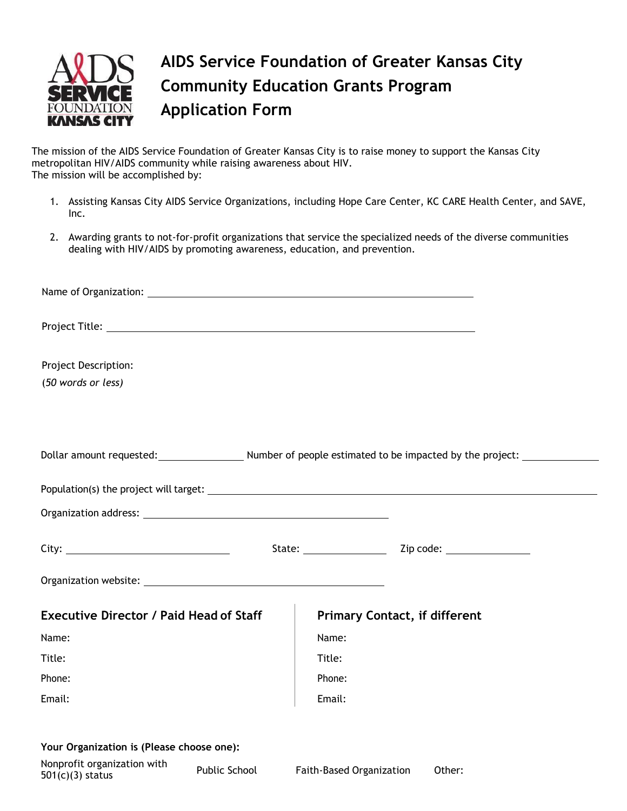

## **AIDS Service Foundation of Greater Kansas City Community Education Grants Program Application Form**

The mission of the AIDS Service Foundation of Greater Kansas City is to raise money to support the Kansas City metropolitan HIV/AIDS community while raising awareness about HIV. The mission will be accomplished by:

- 1. Assisting Kansas City AIDS Service Organizations, including Hope Care Center, KC CARE Health Center, and SAVE, Inc.
- 2. Awarding grants to not-for-profit organizations that service the specialized needs of the diverse communities dealing with HIV/AIDS by promoting awareness, education, and prevention.

| <b>Project Description:</b>                                                        |        |                                        |
|------------------------------------------------------------------------------------|--------|----------------------------------------|
| (50 words or less)                                                                 |        |                                        |
| Dollar amount requested: Number of people estimated to be impacted by the project: |        |                                        |
|                                                                                    |        |                                        |
|                                                                                    |        |                                        |
|                                                                                    |        | State: <u>New York: Zip</u> code: 2010 |
|                                                                                    |        |                                        |
| <b>Executive Director / Paid Head of Staff</b>                                     |        | <b>Primary Contact, if different</b>   |
| Name:                                                                              | Name:  |                                        |
| Title:                                                                             | Title: |                                        |
| Phone:                                                                             | Phone: |                                        |
| Email:                                                                             | Email: |                                        |
| Your Organization is (Please choose one):                                          |        |                                        |